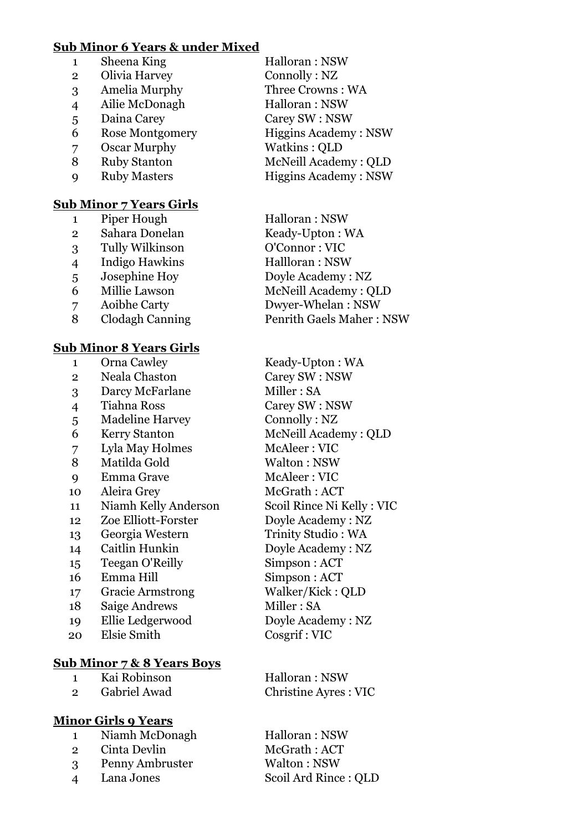#### **Sub Minor 6 Years & under Mixed**

**Sub Minor 7 Years Girls**

|                | Sheena King            | Halloran: NSW               |
|----------------|------------------------|-----------------------------|
| $\overline{2}$ | Olivia Harvey          | Connolly: NZ                |
| 3              | Amelia Murphy          | Three Crowns: WA            |
| $\overline{4}$ | Ailie McDonagh         | Halloran: NSW               |
| 5              | Daina Carey            | Carey SW: NSW               |
| 6              | <b>Rose Montgomery</b> | <b>Higgins Academy: NSW</b> |
| 7              | Oscar Murphy           | Watkins: QLD                |
| 8              | <b>Ruby Stanton</b>    | McNeill Academy: QLD        |
|                | <b>Ruby Masters</b>    | <b>Higgins Academy: NSW</b> |
|                |                        |                             |

| 1              | Piper Hough           | Halloran: NSW                   |
|----------------|-----------------------|---------------------------------|
| $\overline{2}$ | Sahara Donelan        | Keady-Upton: WA                 |
| 3              | Tully Wilkinson       | O'Connor: VIC                   |
| $\overline{4}$ | <b>Indigo Hawkins</b> | Hallloran: NSW                  |
| 5              | Josephine Hoy         | Doyle Academy: NZ               |
| 6              | Millie Lawson         | McNeill Academy: QLD            |
| 7              | Aoibhe Carty          | Dwyer-Whelan: NSW               |
| 8              | Clodagh Canning       | <b>Penrith Gaels Maher: NSW</b> |
|                |                       |                                 |

### **Sub Minor 8 Years Girls** 1 Orna Cawley Keady-Upton : WA Neala Chaston Carey SW : NSW Darcy McFarlane Miller : SA Tiahna Ross Carey SW : NSW Madeline Harvey Connolly : NZ Kerry Stanton McNeill Academy : QLD Lyla May Holmes McAleer : VIC 8 Matilda Gold Walton : NSW 9 Emma Grave McAleer : VIC Aleira Grey McGrath : ACT Niamh Kelly Anderson Scoil Rince Ni Kelly : VIC Zoe Elliott-Forster Doyle Academy : NZ Georgia Western Trinity Studio : WA 14 Caitlin Hunkin Doyle Academy : NZ Teegan O'Reilly Simpson : ACT Emma Hill Simpson : ACT

- Gracie Armstrong Walker/Kick : QLD
- 18 Saige Andrews Miller : SA
- 
- Elsie Smith Cosgrif : VIC

# **Sub Minor 7 & 8 Years Boys**

| Kai Robinson |
|--------------|
|              |
|              |
|              |
|              |
|              |
|              |
|              |
|              |
|              |
|              |
|              |

# **Minor Girls 9 Years**

- 1 Niamh McDonagh Halloran : NSW
- 
- Penny Ambruster Walton : NSW
- 

Ellie Ledgerwood Doyle Academy : NZ

Halloran : NSW Gabriel Awad Christine Ayres : VIC

2 Cinta Devlin McGrath : ACT Lana Jones Scoil Ard Rince : QLD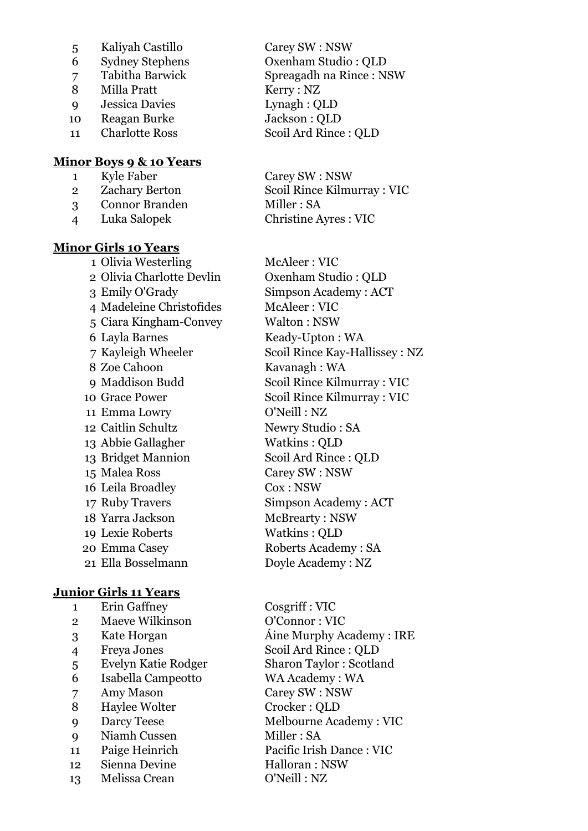- Kaliyah Castillo Carey SW : NSW
- 
- 
- 8 Milla Pratt Kerry : NZ
- Jessica Davies Lynagh : QLD
- Reagan Burke Jackson : QLD
- 

#### **Minor Boys 9 & 10 Years**

- Kyle Faber Carey SW : NSW
- Connor Branden Miller : SA
- 

# **Minor Girls 10 Years**

 Olivia Westerling McAleer : VIC Olivia Charlotte Devlin Oxenham Studio : QLD Emily O'Grady Simpson Academy : ACT 4 Madeleine Christofides McAleer : VIC Ciara Kingham-Convey Walton : NSW Layla Barnes Keady-Upton : WA Zoe Cahoon Kavanagh : WA Emma Lowry O'Neill : NZ Caitlin Schultz Newry Studio : SA Abbie Gallagher Watkins : QLD Bridget Mannion Scoil Ard Rince : QLD Malea Ross Carey SW : NSW Leila Broadley Cox : NSW 17 Ruby Travers Simpson Academy : ACT 18 Yarra Jackson McBrearty : NSW Lexie Roberts Watkins : QLD Emma Casey Roberts Academy : SA Ella Bosselmann Doyle Academy : NZ

# **Junior Girls 11 Years**

 Erin Gaffney Cosgriff : VIC Maeve Wilkinson O'Connor : VIC Freya Jones Scoil Ard Rince : QLD Evelyn Katie Rodger Sharon Taylor : Scotland Isabella Campeotto WA Academy : WA Amy Mason Carey SW : NSW 8 Haylee Wolter Crocker : QLD Darcy Teese Melbourne Academy : VIC Niamh Cussen Miller : SA Paige Heinrich Pacific Irish Dance : VIC 12 Sienna Devine Halloran : NSW Melissa Crean O'Neill : NZ

 Sydney Stephens Oxenham Studio : QLD Tabitha Barwick Spreagadh na Rince : NSW 11 Charlotte Ross Scoil Ard Rince : QLD

 Zachary Berton Scoil Rince Kilmurray : VIC Luka Salopek Christine Ayres : VIC

 Kayleigh Wheeler Scoil Rince Kay-Hallissey : NZ Maddison Budd Scoil Rince Kilmurray : VIC 10 Grace Power Scoil Rince Kilmurray : VIC

Kate Horgan Áine Murphy Academy : IRE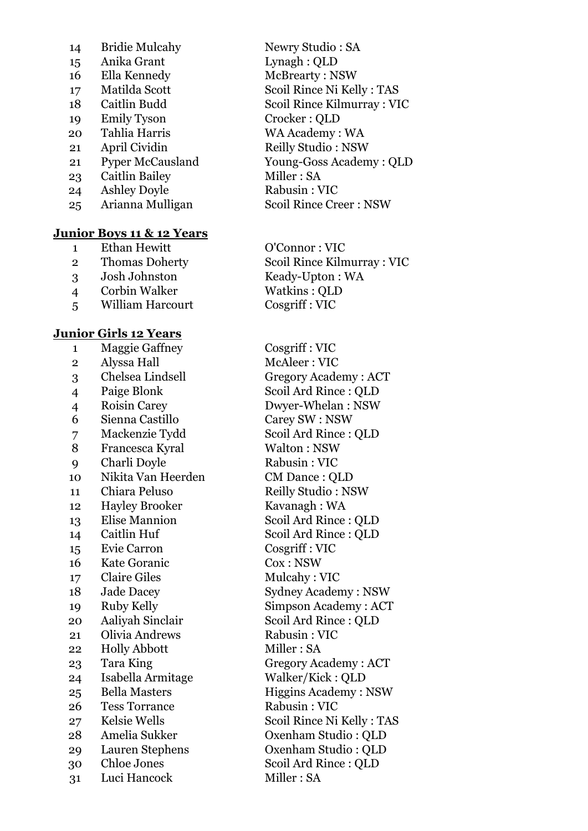| 14 | <b>Bridie Mulcahy</b>   |
|----|-------------------------|
| 15 | Anika Grant             |
| 16 | Ella Kennedy            |
| 17 | Matilda Scott           |
| 18 | Caitlin Budd            |
| 19 | Emily Tyson             |
| 20 | Tahlia Harris           |
| 21 | April Cividin           |
| 21 | <b>Pyper McCausland</b> |
| 23 | Caitlin Bailey          |
| 24 | <b>Ashley Doyle</b>     |
| 25 | Arianna Mulligan        |
|    |                         |
|    |                         |

# **Junior Boys 11 & 12 Years**

| 1              | Ethan Hewitt          |
|----------------|-----------------------|
| $\overline{2}$ | <b>Thomas Doherty</b> |
| 3              | Josh Johnston         |
| 4              | Corbin Walker         |
| 5              | William Harcourt      |
|                |                       |
|                |                       |

### **Junior Girls 12 Years**

| 1              | <b>Maggie Gaffney</b> | Cosgriff: V        |
|----------------|-----------------------|--------------------|
| $\overline{2}$ | Alyssa Hall           | McAleer: \         |
| 3              | Chelsea Lindsell      | Gregory Ac         |
| $\overline{4}$ | Paige Blonk           | Scoil Ard R        |
| $\overline{4}$ | <b>Roisin Carey</b>   | Dwyer-Wh           |
| 6              | Sienna Castillo       | Carey SW:          |
| 7              | Mackenzie Tydd        | Scoil Ard R        |
| 8              | Francesca Kyral       | Walton : N         |
| 9              | Charli Doyle          | Rabusin: V         |
| 10             | Nikita Van Heerden    | <b>CM</b> Dance    |
| 11             | Chiara Peluso         | <b>Reilly Stud</b> |
| 12             | <b>Hayley Brooker</b> | Kavanagh:          |
| 13             | <b>Elise Mannion</b>  | Scoil Ard R        |
| 14             | Caitlin Huf           | Scoil Ard R        |
| 15             | Evie Carron           | Cosgriff: V        |
| 16             | <b>Kate Goranic</b>   | Cox : NSW          |
| 17             | <b>Claire Giles</b>   | Mulcahy:           |
| 18             | <b>Jade Dacey</b>     | Sydney Aca         |
| 19             | Ruby Kelly            | Simpson A          |
| 20             | Aaliyah Sinclair      | Scoil Ard R        |
| 21             | Olivia Andrews        | Rabusin: V         |
| 22             | <b>Holly Abbott</b>   | Miller: SA         |
| 23             | Tara King             | Gregory Ac         |
| 24             | Isabella Armitage     | Walker/Kio         |
| 25             | <b>Bella Masters</b>  | Higgins Ac         |
| 26             | <b>Tess Torrance</b>  | Rabusin: V         |
| 27             | Kelsie Wells          | <b>Scoil Rince</b> |
| 28             | Amelia Sukker         | Oxenham S          |
| 29             | Lauren Stephens       | Oxenham S          |
| 30             | <b>Chloe Jones</b>    | Scoil Ard R        |
| 31             | Luci Hancock          | Miller: SA         |

Newry Studio : SA Lynagh : OLD McBrearty: NSW Scoil Rince Ni Kelly : TAS Scoil Rince Kilmurray : VIC Crocker : OLD WA Academy : WA Reilly Studio : NSW Young-Goss Academy : OLD Miller : SA Rabusin : VIC Scoil Rince Creer : NSW

O'Connor : VIC Scoil Rince Kilmurray : VIC Keady-Upton : WA Watkins : OLD Cosgriff : VIC

Cosgriff : VIC McAleer : VIC Gregory Academy : ACT Scoil Ard Rince : QLD Dwyer-Whelan : NSW Carey SW : NSW Scoil Ard Rince : OLD Walton : NSW Rabusin : VIC CM Dance : QLD Reilly Studio : NSW Kavanagh : WA Scoil Ard Rince : QLD Scoil Ard Rince : OLD Cosgriff : VIC  $Cox : NSW$ Mulcahy : VIC Sydney Academy : NSW Simpson Academy : ACT Scoil Ard Rince : QLD Rabusin : VIC Miller : SA Gregory Academy : ACT Walker/Kick : QLD Higgins Academy : NSW Rabusin : VIC Scoil Rince Ni Kelly : TAS Oxenham Studio : QLD Oxenham Studio : QLD Scoil Ard Rince : QLD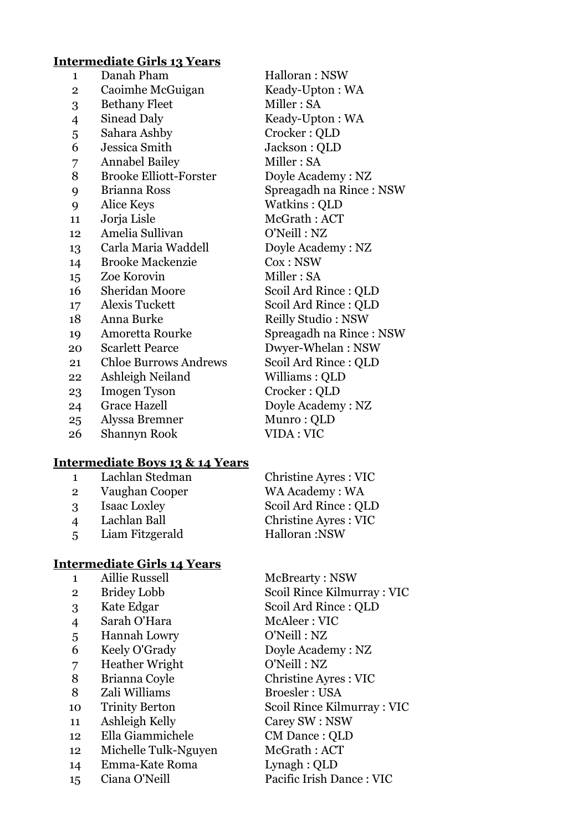# **Intermediate Girls 13 Years**

| $\mathbf{1}$    | Danah Pham                    | Halloran: NSW             |
|-----------------|-------------------------------|---------------------------|
| $\overline{2}$  | Caoimhe McGuigan              | Keady-Upton: WA           |
| 3               | <b>Bethany Fleet</b>          | Miller: SA                |
| 4               | Sinead Daly                   | Keady-Upton: WA           |
| 5               | Sahara Ashby                  | Crocker: QLD              |
| 6               | Jessica Smith                 | Jackson : QLD             |
| 7               | <b>Annabel Bailey</b>         | Miller: SA                |
| 8               | <b>Brooke Elliott-Forster</b> | Doyle Academy: NZ         |
| 9               | Brianna Ross                  | Spreagadh na Rince : NSW  |
| 9               | Alice Keys                    | Watkins: QLD              |
| 11              | Jorja Lisle                   | McGrath: ACT              |
| 12              | Amelia Sullivan               | O'Neill: NZ               |
| 13              | Carla Maria Waddell           | Doyle Academy: NZ         |
| 14              | <b>Brooke Mackenzie</b>       | Cox : NSW                 |
| 15              | Zoe Korovin                   | Miller: SA                |
| 16              | <b>Sheridan Moore</b>         | Scoil Ard Rince: QLD      |
| 17 <sub>1</sub> | Alexis Tuckett                | Scoil Ard Rince: QLD      |
| 18              | Anna Burke                    | <b>Reilly Studio: NSW</b> |
| 19              | Amoretta Rourke               | Spreagadh na Rince: NSW   |
| 20              | <b>Scarlett Pearce</b>        | Dwyer-Whelan: NSW         |
| 21              | <b>Chloe Burrows Andrews</b>  | Scoil Ard Rince: QLD      |
| 22              | Ashleigh Neiland              | Williams: QLD             |
| 23              | <b>Imogen Tyson</b>           | Crocker: QLD              |
| 24              | <b>Grace Hazell</b>           | Doyle Academy: NZ         |
| 25              | Alyssa Bremner                | Munro: QLD                |
| 26              | <b>Shannyn Rook</b>           | VIDA: VIC                 |

# **Intermediate Boys 13 & 14 Years**

| $\mathbf{1}$             | Lachlan Stedman     | <b>Christine Ayres: VIC</b> |
|--------------------------|---------------------|-----------------------------|
| $\overline{2}$           | Vaughan Cooper      | WA Academy: WA              |
| 3                        | <b>Isaac Loxley</b> | Scoil Ard Rince: QLD        |
| $\boldsymbol{\varDelta}$ | Lachlan Ball        | <b>Christine Ayres: VIC</b> |
| $\overline{5}$           | Liam Fitzgerald     | Halloran: NSW               |

# **Intermediate Girls 14 Years**

| $\mathbf{1}$   | <b>Aillie Russell</b> | McBrearty: NSW             |
|----------------|-----------------------|----------------------------|
| $\overline{2}$ | <b>Bridey Lobb</b>    | Scoil Rince Kilmurray: VIC |
| 3              | Kate Edgar            | Scoil Ard Rince: QLD       |
| 4              | Sarah O'Hara          | McAleer: VIC               |
| 5              | Hannah Lowry          | O'Neill: NZ                |
| 6              | Keely O'Grady         | Doyle Academy: NZ          |
| 7              | <b>Heather Wright</b> | O'Neill: NZ                |
| 8              | Brianna Coyle         | Christine Ayres : VIC      |
| 8              | Zali Williams         | <b>Broesler: USA</b>       |
| 10             | <b>Trinity Berton</b> | Scoil Rince Kilmurray: VIC |
| 11             | Ashleigh Kelly        | Carey SW : NSW             |
| 12             | Ella Giammichele      | CM Dance: QLD              |
| 12             | Michelle Tulk-Nguyen  | McGrath: ACT               |
| 14             | Emma-Kate Roma        | Lynagh: QLD                |
| 15             | Ciana O'Neill         | Pacific Irish Dance: VIC   |
|                |                       |                            |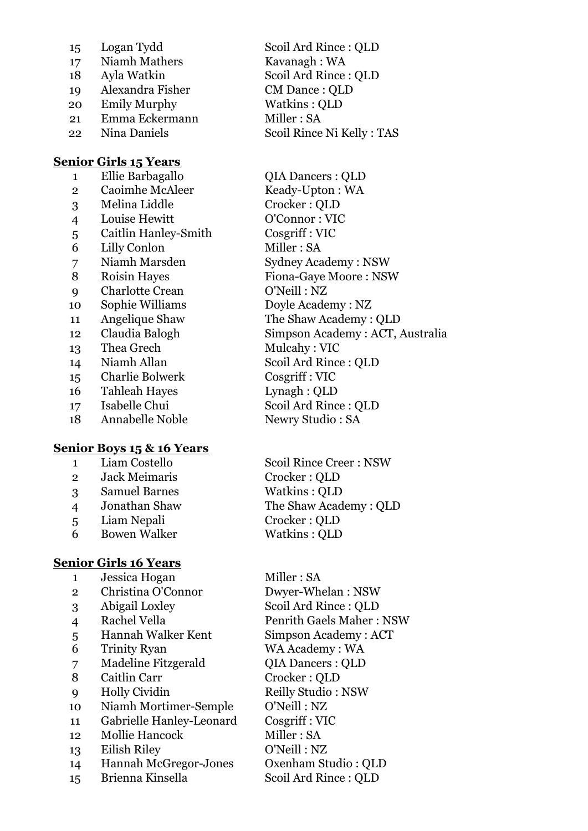| 15 | Logan Tydd       |
|----|------------------|
| 17 | Niamh Mathers    |
| 18 | Ayla Watkin      |
| 19 | Alexandra Fisher |
| 20 | Emily Murphy     |
| 21 | Emma Eckermann   |
| 22 | Nina Daniels     |
|    |                  |

#### **Senior Girls 15 Years**

2 Caoimhe McAleer Keady-Upton : WA Melina Liddle Crocker : QLD Louise Hewitt O'Connor : VIC Caitlin Hanley-Smith Cosgriff : VIC 6 Lilly Conlon Miller : SA Niamh Marsden Sydney Academy : NSW 8 Roisin Hayes Fiona-Gave Moore : NSW Charlotte Crean O'Neill : NZ Sophie Williams Doyle Academy : NZ Angelique Shaw The Shaw Academy : QLD 13 Thea Grech Mulcahy : VIC Niamh Allan Scoil Ard Rince : QLD Charlie Bolwerk Cosgriff : VIC Tahleah Hayes Lynagh : QLD Isabelle Chui Scoil Ard Rince : QLD 18 Annabelle Noble Newry Studio : SA

#### **Senior Boys 15 & 16 Years**

- Jack Meimaris Crocker : QLD Samuel Barnes Watkins : QLD Liam Nepali Crocker : QLD
- Bowen Walker Watkins : QLD

#### **Senior Girls 16 Years**

1 Jessica Hogan Miller : SA Christina O'Connor Dwyer-Whelan : NSW Abigail Loxley Scoil Ard Rince : QLD Rachel Vella Penrith Gaels Maher : NSW Hannah Walker Kent Simpson Academy : ACT Trinity Ryan WA Academy : WA Madeline Fitzgerald QIA Dancers : QLD 8 Caitlin Carr Crocker : OLD Holly Cividin Reilly Studio : NSW Niamh Mortimer-Semple O'Neill : NZ Gabrielle Hanley-Leonard Cosgriff : VIC Mollie Hancock Miller : SA Eilish Riley O'Neill : NZ Hannah McGregor-Jones Oxenham Studio : QLD Brienna Kinsella Scoil Ard Rince : QLD

Scoil Ard Rince : OLD Kavanagh : WA Scoil Ard Rince : QLD CM Dance : OLD Watkins : OLD Miller : SA Scoil Rince Ni Kelly : TAS

 Ellie Barbagallo QIA Dancers : QLD Claudia Balogh Simpson Academy : ACT, Australia

 Liam Costello Scoil Rince Creer : NSW Jonathan Shaw The Shaw Academy : QLD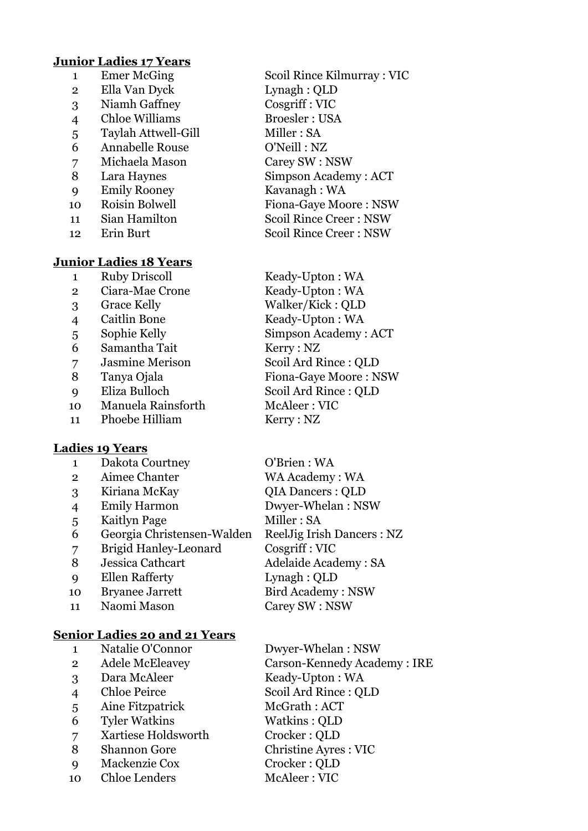#### **Junior Ladies 17 Years**

| 1              | <b>Emer McGing</b>            | SCC        |
|----------------|-------------------------------|------------|
| $\overline{2}$ | Ella Van Dyck                 | Lyr        |
| 3              | Niamh Gaffney                 | $\cos$     |
| 4              | <b>Chloe Williams</b>         | <b>Bro</b> |
| 5              | Taylah Attwell-Gill           | Mil        |
| 6              | <b>Annabelle Rouse</b>        | O'         |
| 7              | Michaela Mason                | Car        |
| 8              | Lara Haynes                   | Sin        |
| 9              | <b>Emily Rooney</b>           | Ka         |
| 10             | Roisin Bolwell                | Fio        |
| 11             | Sian Hamilton                 | Scc        |
| 12             | Erin Burt                     | Scc        |
|                | <b>Junior Ladies 18 Years</b> |            |
| 1              | <b>Ruby Driscoll</b>          | Kea        |
| 2              | Ciara-Mae Crone               | Kea        |
|                |                               |            |

- 
- 
- 6 Samantha Tait Kerry : NZ
- 
- 
- 
- 10 Manuela Rainsforth McAleer : VIC
- 11 Phoebe Hilliam Kerry : NZ

# **Ladies 19 Years**

| 1              | Dakota Courtney              | O'Brien: WA                   |
|----------------|------------------------------|-------------------------------|
| $\mathbf{2}$   | Aimee Chanter                | WA Academy: WA                |
| 3              | Kiriana McKay                | <b>QIA Dancers: QLD</b>       |
| $\overline{4}$ | <b>Emily Harmon</b>          | Dwyer-Whelan: NSW             |
| 5              | Kaitlyn Page                 | Miller: SA                    |
| 6              | Georgia Christensen-Walden   | <b>ReelJig Irish Dancers:</b> |
| 7              | <b>Brigid Hanley-Leonard</b> | Cosgriff: VIC                 |
| 8              | Jessica Cathcart             | <b>Adelaide Academy: SA</b>   |
| Q              | <b>Ellen Rafferty</b>        | Lynagh: QLD                   |
| 10             | <b>Bryanee Jarrett</b>       | <b>Bird Academy: NSW</b>      |
| 11             | Naomi Mason                  | Carey SW: NSW                 |
|                |                              |                               |

# **Senior Ladies 20 and 21 Years**

|                | Natalie O'Connor       | Dwyer-Whelan: NSW           |
|----------------|------------------------|-----------------------------|
| $\overline{2}$ | <b>Adele McEleavey</b> | Carson-Kennedy Academy: IRE |
| 3              | Dara McAleer           | Keady-Upton: WA             |
| $\overline{4}$ | <b>Chloe Peirce</b>    | Scoil Ard Rince: QLD        |
| 5              | Aine Fitzpatrick       | McGrath: ACT                |
| 6              | <b>Tyler Watkins</b>   | Watkins: QLD                |
| 7              | Xartiese Holdsworth    | Crocker: QLD                |
| 8              | <b>Shannon Gore</b>    | <b>Christine Ayres: VIC</b> |
| 9              | Mackenzie Cox          | Crocker: QLD                |
| 10             | <b>Chloe Lenders</b>   | McAleer: VIC                |
|                |                        |                             |

bil Rince Kilmurray : VIC nagh : QLD  $\text{sqrt} : \text{VIC}$ oesler : USA  $ller : SA$ Neill : NZ rey SW : NSW npson Academy : ACT vanagh : WA na-Gaye Moore : NSW oil Rince Creer : NSW oil Rince Creer : NSW

ady-Upton : WA ady-Upton : WA Grace Kelly Walker/Kick : QLD Caitlin Bone Keady-Upton : WA Sophie Kelly Simpson Academy : ACT Jasmine Merison Scoil Ard Rince : QLD 8 Tanya Ojala Fiona-Gaye Moore : NSW Eliza Bulloch Scoil Ard Rince : QLD

ncers : NZ